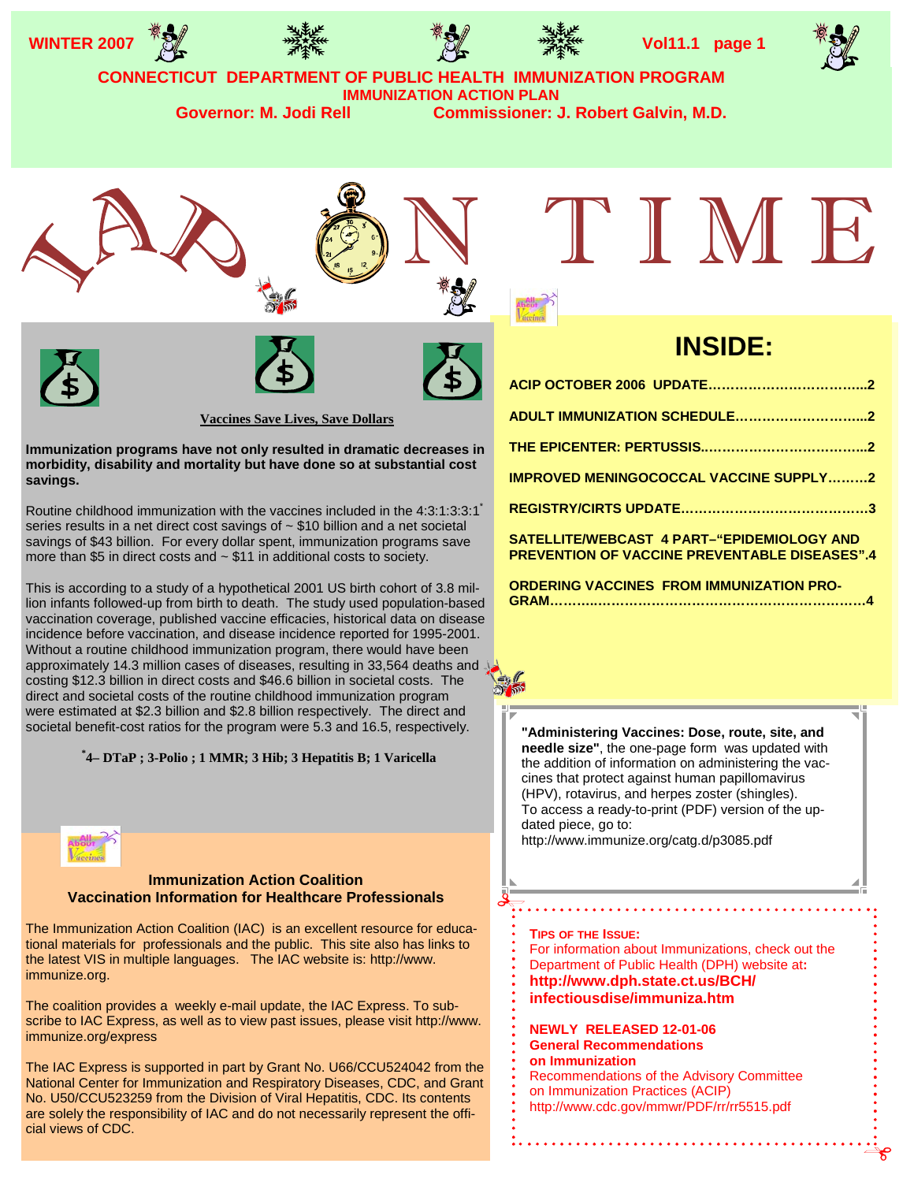

Routine childhood immunization with the vaccines included in the 4:3:1:3:3:1<sup>\*</sup> series results in a net direct cost savings of ~ \$10 billion and a net societal savings of \$43 billion. For every dollar spent, immunization programs save more than \$5 in direct costs and ~ \$11 in additional costs to society.

This is according to a study of a hypothetical 2001 US birth cohort of 3.8 million infants followed-up from birth to death. The study used population-based vaccination coverage, published vaccine efficacies, historical data on disease incidence before vaccination, and disease incidence reported for 1995-2001. Without a routine childhood immunization program, there would have been approximately 14.3 million cases of diseases, resulting in 33,564 deaths and costing \$12.3 billion in direct costs and \$46.6 billion in societal costs. The direct and societal costs of the routine childhood immunization program were estimated at \$2.3 billion and \$2.8 billion respectively. The direct and societal benefit-cost ratios for the program were 5.3 and 16.5, respectively.

 **\*4– DTaP ; 3-Polio ; 1 MMR; 3 Hib; 3 Hepatitis B; 1 Varicella** 



**savings.**

#### **Immunization Action Coalition Vaccination Information for Healthcare Professionals**

The Immunization Action Coalition (IAC) is an excellent resource for educational materials for professionals and the public. This site also has links to the latest VIS in multiple languages. The IAC website is: http://www. immunize.org.

The coalition provides a weekly e-mail update, the IAC Express. To subscribe to IAC Express, as well as to view past issues, please visit http://www. immunize.org/express

The IAC Express is supported in part by Grant No. U66/CCU524042 from the National Center for Immunization and Respiratory Diseases, CDC, and Grant No. U50/CCU523259 from the Division of Viral Hepatitis, CDC. Its contents are solely the responsibility of IAC and do not necessarily represent the official views of CDC.

| <b>IMPROVED MENINGOCOCCAL VACCINE SUPPLY2</b>                                                      |
|----------------------------------------------------------------------------------------------------|
|                                                                                                    |
| SATELLITE/WEBCAST 4 PART-"EPIDEMIOLOGY AND<br><b>PREVENTION OF VACCINE PREVENTABLE DISEASES".4</b> |
| <b>ORDERING VACCINES FROM IMMUNIZATION PRO-</b>                                                    |



http://www.immunize.org/catg.d/p3085.pdf

#### **TIPS OF THE ISSUE:**

For information about Immunizations, check out the Department of Public Health (DPH) website at**: http://www.dph.state.ct.us/BCH/ infectiousdise/immuniza.htm** 

#### **NEWLY RELEASED 12-01-06**

**General Recommendations on Immunization**  Recommendations of the Advisory Committee on Immunization Practices (ACIP) http://www.cdc.gov/mmwr/PDF/rr/rr5515.pdf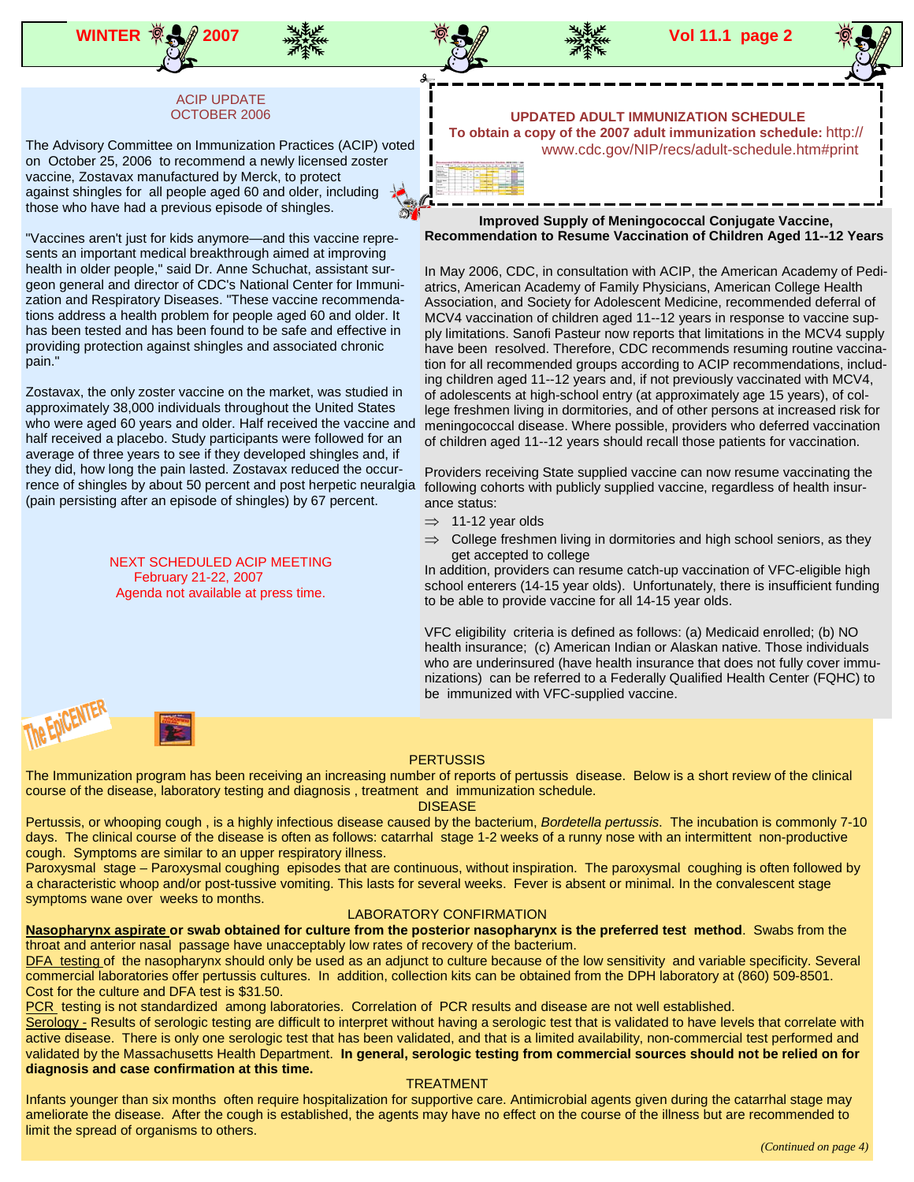**WINTER 2007 Vol 11.1 page 2**

#### ACIP UPDATE OCTOBER 2006

The Advisory Committee on Immunization Practices (ACIP) voted on October 25, 2006 to recommend a newly licensed zoster vaccine, Zostavax manufactured by Merck, to protect against shingles for all people aged 60 and older, including those who have had a previous episode of shingles.

"Vaccines aren't just for kids anymore—and this vaccine represents an important medical breakthrough aimed at improving health in older people," said Dr. Anne Schuchat, assistant surgeon general and director of CDC's National Center for Immunization and Respiratory Diseases. "These vaccine recommendations address a health problem for people aged 60 and older. It has been tested and has been found to be safe and effective in providing protection against shingles and associated chronic pain."

Zostavax, the only zoster vaccine on the market, was studied in approximately 38,000 individuals throughout the United States who were aged 60 years and older. Half received the vaccine and half received a placebo. Study participants were followed for an average of three years to see if they developed shingles and, if they did, how long the pain lasted. Zostavax reduced the occurrence of shingles by about 50 percent and post herpetic neuralgia (pain persisting after an episode of shingles) by 67 percent.

> NEXT SCHEDULED ACIP MEETING February 21-22, 2007 Agenda not available at press time.

 **Vaccine Formulation UPDATED ADULT IMMUNIZATION SCHEDULE To obtain a copy of the 2007 adult immunization schedule:** http:// www.cdc.gov/NIP/recs/adult-schedule.htm#print

> **Improved Supply of Meningococcal Conjugate Vaccine, Recommendation to Resume Vaccination of Children Aged 11--12 Years**

> In May 2006, CDC, in consultation with ACIP, the American Academy of Pediatrics, American Academy of Family Physicians, American College Health Association, and Society for Adolescent Medicine, recommended deferral of MCV4 vaccination of children aged 11--12 years in response to vaccine supply limitations. Sanofi Pasteur now reports that limitations in the MCV4 supply have been resolved. Therefore, CDC recommends resuming routine vaccination for all recommended groups according to ACIP recommendations, including children aged 11--12 years and, if not previously vaccinated with MCV4, of adolescents at high-school entry (at approximately age 15 years), of college freshmen living in dormitories, and of other persons at increased risk for meningococcal disease. Where possible, providers who deferred vaccination of children aged 11--12 years should recall those patients for vaccination.

Providers receiving State supplied vaccine can now resume vaccinating the following cohorts with publicly supplied vaccine, regardless of health insurance status:

- $\Rightarrow$  11-12 year olds
- $\Rightarrow$  College freshmen living in dormitories and high school seniors, as they get accepted to college

In addition, providers can resume catch-up vaccination of VFC-eligible high school enterers (14-15 year olds). Unfortunately, there is insufficient funding to be able to provide vaccine for all 14-15 year olds.

VFC eligibility criteria is defined as follows: (a) Medicaid enrolled; (b) NO health insurance; (c) American Indian or Alaskan native. Those individuals who are underinsured (have health insurance that does not fully cover immunizations) can be referred to a Federally Qualified Health Center (FQHC) to be immunized with VFC-supplied vaccine.



#### **PERTUSSIS**

The Immunization program has been receiving an increasing number of reports of pertussis disease. Below is a short review of the clinical course of the disease, laboratory testing and diagnosis , treatment and immunization schedule.

DISEASE

Pertussis, or whooping cough , is a highly infectious disease caused by the bacterium, *Bordetella pertussis*. The incubation is commonly 7-10 days. The clinical course of the disease is often as follows: catarrhal stage 1-2 weeks of a runny nose with an intermittent non-productive cough. Symptoms are similar to an upper respiratory illness.

Paroxysmal stage – Paroxysmal coughing episodes that are continuous, without inspiration. The paroxysmal coughing is often followed by a characteristic whoop and/or post-tussive vomiting. This lasts for several weeks. Fever is absent or minimal. In the convalescent stage symptoms wane over weeks to months.

#### LABORATORY CONFIRMATION

**Nasopharynx aspirate or swab obtained for culture from the posterior nasopharynx is the preferred test method**. Swabs from the throat and anterior nasal passage have unacceptably low rates of recovery of the bacterium.

DFA testing of the nasopharynx should only be used as an adjunct to culture because of the low sensitivity and variable specificity. Several commercial laboratories offer pertussis cultures. In addition, collection kits can be obtained from the DPH laboratory at (860) 509-8501. Cost for the culture and DFA test is \$31.50.

PCR testing is not standardized among laboratories. Correlation of PCR results and disease are not well established.

Serology - Results of serologic testing are difficult to interpret without having a serologic test that is validated to have levels that correlate with active disease. There is only one serologic test that has been validated, and that is a limited availability, non-commercial test performed and validated by the Massachusetts Health Department. **In general, serologic testing from commercial sources should not be relied on for diagnosis and case confirmation at this time.** 

#### TREATMENT

Infants younger than six months often require hospitalization for supportive care. Antimicrobial agents given during the catarrhal stage may ameliorate the disease. After the cough is established, the agents may have no effect on the course of the illness but are recommended to limit the spread of organisms to others.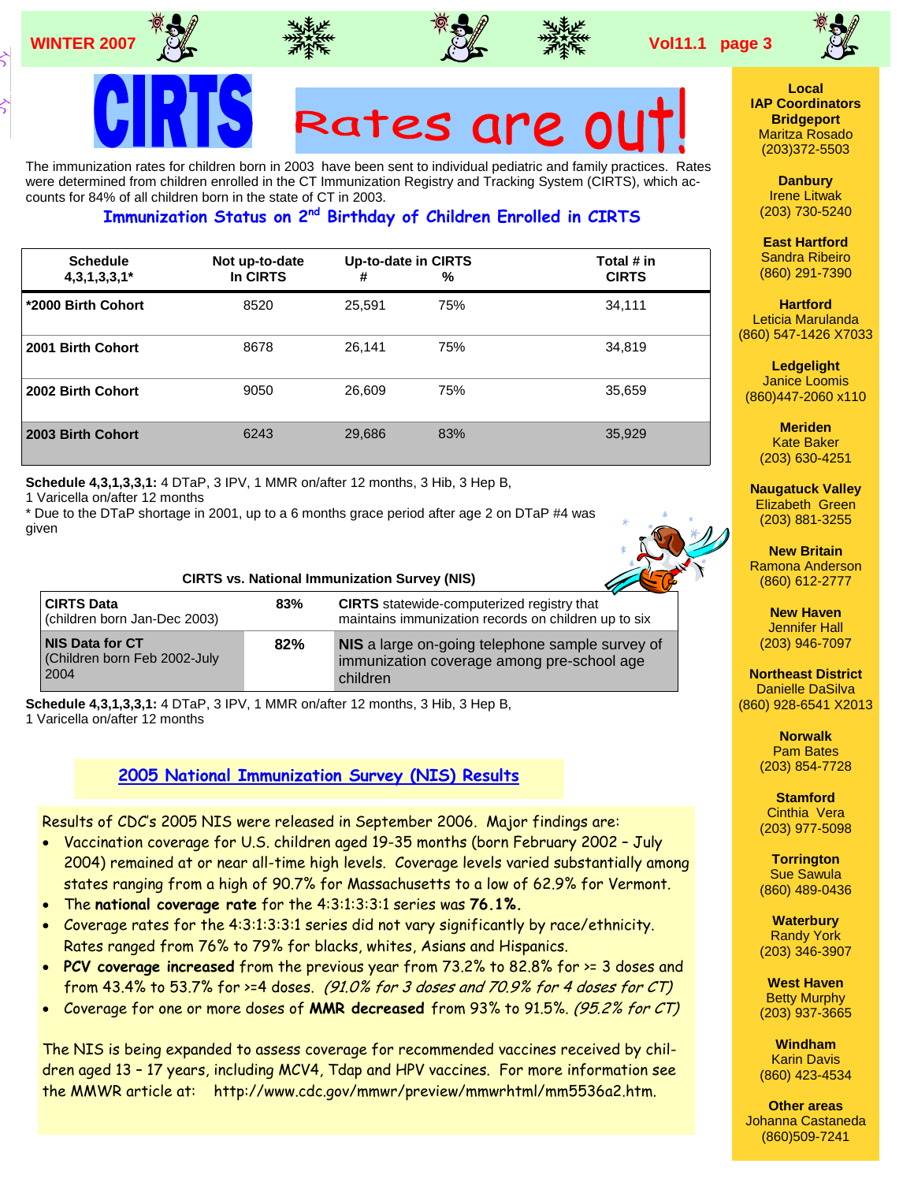



# Rates are

The immunization rates for children born in 2003 have been sent to individual pediatric and family practices. Rates were determined from children enrolled in the CT Immunization Registry and Tracking System (CIRTS), which accounts for 84% of all children born in the state of CT in 2003.

### **Immunization Status on 2nd Birthday of Children Enrolled in CIRTS**

| <b>Schedule</b><br>$4,3,1,3,3,1*$ | Not up-to-date<br>In CIRTS | Up-to-date in CIRTS<br># | %   | Total # in<br><b>CIRTS</b> |
|-----------------------------------|----------------------------|--------------------------|-----|----------------------------|
| *2000 Birth Cohort                | 8520                       | 25,591                   | 75% | 34,111                     |
| 2001 Birth Cohort                 | 8678                       | 26,141                   | 75% | 34,819                     |
| 2002 Birth Cohort                 | 9050                       | 26,609                   | 75% | 35,659                     |
| 2003 Birth Cohort                 | 6243                       | 29,686                   | 83% | 35,929                     |

**Schedule 4,3,1,3,3,1:** 4 DTaP, 3 IPV, 1 MMR on/after 12 months, 3 Hib, 3 Hep B,

1 Varicella on/after 12 months

\* Due to the DTaP shortage in 2001, up to a 6 months grace period after age 2 on DTaP #4 was given



#### **CIRTS vs. National Immunization Survey (NIS)**

| <b>CIRTS Data</b><br>(children born Jan-Dec 2003)       | 83% | <b>CIRTS</b> statewide-computerized registry that<br>maintains immunization records on children up to six |
|---------------------------------------------------------|-----|-----------------------------------------------------------------------------------------------------------|
| NIS Data for CT<br>(Children born Feb 2002-July<br>2004 | 82% | NIS a large on-going telephone sample survey of<br>immunization coverage among pre-school age<br>children |

**Schedule 4,3,1,3,3,1:** 4 DTaP, 3 IPV, 1 MMR on/after 12 months, 3 Hib, 3 Hep B,

1 Varicella on/after 12 months

#### **2005 National Immunization Survey (NIS) Results**

Results of CDC's 2005 NIS were released in September 2006. Major findings are:

- Vaccination coverage for U.S. children aged 19-35 months (born February 2002 July 2004) remained at or near all-time high levels. Coverage levels varied substantially among states ranging from a high of 90.7% for Massachusetts to a low of 62.9% for Vermont.
- The **national coverage rate** for the 4:3:1:3:3:1 series was **76.1%.**
- Coverage rates for the 4:3:1:3:3:1 series did not vary significantly by race/ethnicity. Rates ranged from 76% to 79% for blacks, whites, Asians and Hispanics.
- **PCV coverage increased** from the previous year from 73.2% to 82.8% for >= 3 doses and from  $43.4\%$  to  $53.7\%$  for  $\geq 4$  doses. (91.0% for 3 doses and 70.9% for 4 doses for CT)
- Coverage for one or more doses of **MMR decreased** from 93% to 91.5%. (95.2% for CT)

The NIS is being expanded to assess coverage for recommended vaccines received by children aged 13 – 17 years, including MCV4, Tdap and HPV vaccines. For more information see the MMWR article at: http://www.cdc.gov/mmwr/preview/mmwrhtml/mm5536a2.htm.



**Local IAP Coordinators Bridgeport**  Maritza Rosado (203)372-5503

> **Danbury**  Irene Litwak (203) 730-5240

> **East Hartford**  Sandra Ribeiro (860) 291-7390

**Hartford**  Leticia Marulanda (860) 547-1426 X7033

**Ledgelight**  Janice Loomis (860)447-2060 x110

> **Meriden**  Kate Baker (203) 630-4251

**Naugatuck Valley**  Elizabeth Green (203) 881-3255

**New Britain**  Ramona Anderson (860) 612-2777

**New Haven**  Jennifer Hall (203) 946-7097

**Northeast District**  Danielle DaSilva (860) 928-6541 X2013

> **Norwalk**  Pam Bates (203) 854-7728

> **Stamford**  Cinthia Vera (203) 977-5098

**Torrington**  Sue Sawula (860) 489-0436

**Waterbury**  Randy York (203) 346-3907

**West Haven**  Betty Murphy (203) 937-3665

**Windham**  Karin Davis (860) 423-4534

**Other areas**  Johanna Castaneda (860)509-7241